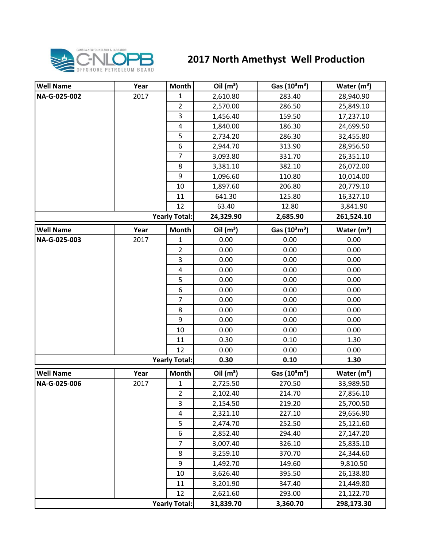

## **2017 North Amethyst Well Production**

| <b>Well Name</b>     | Year | <b>Month</b>            | Oil $(m^3)$ | Gas $(10^3 \text{m}^3)$               | Water $(m^3)$           |
|----------------------|------|-------------------------|-------------|---------------------------------------|-------------------------|
| NA-G-025-002         | 2017 | 1                       | 2,610.80    | 283.40                                | 28,940.90               |
|                      |      | $\overline{2}$          | 2,570.00    | 286.50                                | 25,849.10               |
|                      |      | 3                       | 1,456.40    | 159.50                                | 17,237.10               |
|                      |      | 4                       | 1,840.00    | 186.30                                | 24,699.50               |
|                      |      | 5                       | 2,734.20    | 286.30                                | 32,455.80               |
|                      |      | 6                       | 2,944.70    | 313.90                                | 28,956.50               |
|                      |      | $\overline{7}$          | 3,093.80    | 331.70                                | 26,351.10               |
|                      |      | 8                       | 3,381.10    | 382.10                                | 26,072.00               |
|                      |      | 9                       | 1,096.60    | 110.80                                | 10,014.00               |
|                      |      | 10                      | 1,897.60    | 206.80                                | 20,779.10               |
|                      |      | 11                      | 641.30      | 125.80                                | 16,327.10               |
|                      |      | 12                      | 63.40       | 12.80                                 | 3,841.90                |
|                      |      | <b>Yearly Total:</b>    | 24,329.90   | 2,685.90                              | 261,524.10              |
| <b>Well Name</b>     | Year | Month                   | Oil $(m^3)$ | Gas $(10^3 \text{m}^3)$               | Water $(m^3)$           |
| NA-G-025-003         | 2017 | $\mathbf{1}$            | 0.00        | 0.00                                  | 0.00                    |
|                      |      | $\overline{2}$          | 0.00        | 0.00                                  | 0.00                    |
|                      |      | 3                       | 0.00        | 0.00                                  | 0.00                    |
|                      |      | $\overline{\mathbf{4}}$ | 0.00        | 0.00                                  | 0.00                    |
|                      |      | 5                       | 0.00        | 0.00                                  | 0.00                    |
|                      |      | 6                       | 0.00        | 0.00                                  | 0.00                    |
|                      |      | 7                       | 0.00        | 0.00                                  | 0.00                    |
|                      |      | 8                       | 0.00        | 0.00                                  | 0.00                    |
|                      |      | 9                       | 0.00        | 0.00                                  | 0.00                    |
|                      |      | 10                      | 0.00        | 0.00                                  | 0.00                    |
|                      |      | 11                      | 0.30        | 0.10                                  | 1.30                    |
|                      |      | 12                      | 0.00        | 0.00                                  | 0.00                    |
| <b>Yearly Total:</b> |      |                         | 0.30        | 0.10                                  | 1.30                    |
| <b>Well Name</b>     | Year | Month                   | Oil $(m^3)$ | Gas (10 <sup>3</sup> m <sup>3</sup> ) | Water (m <sup>3</sup> ) |
| NA-G-025-006         | 2017 | $\mathbf{1}$            | 2,725.50    | 270.50                                | 33,989.50               |
|                      |      | $\overline{2}$          | 2,102.40    | 214.70                                | 27,856.10               |
|                      |      | 3                       | 2,154.50    | 219.20                                | 25,700.50               |
|                      |      | 4                       | 2,321.10    | 227.10                                | 29,656.90               |
|                      |      | 5                       | 2,474.70    | 252.50                                | 25,121.60               |
|                      |      | 6                       | 2,852.40    | 294.40                                | 27,147.20               |
|                      |      | $\overline{7}$          | 3,007.40    | 326.10                                | 25,835.10               |
|                      |      | 8                       | 3,259.10    | 370.70                                | 24,344.60               |
|                      |      | 9                       | 1,492.70    | 149.60                                | 9,810.50                |
|                      |      | 10                      | 3,626.40    | 395.50                                | 26,138.80               |
|                      |      | 11                      | 3,201.90    | 347.40                                | 21,449.80               |
|                      |      | 12                      | 2,621.60    | 293.00                                | 21,122.70               |
| <b>Yearly Total:</b> |      |                         | 31,839.70   | 3,360.70                              | 298,173.30              |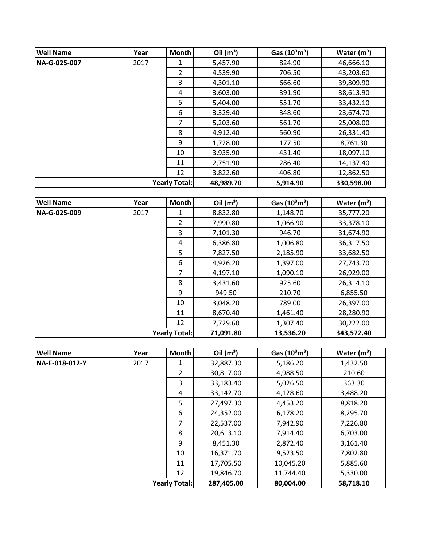| <b>Well Name</b>     | Year | <b>Month</b>   | Oil $(m^3)$ | Gas $(10^3 \text{m}^3)$ | Water $(m^3)$ |
|----------------------|------|----------------|-------------|-------------------------|---------------|
| NA-G-025-007         | 2017 | 1              | 5,457.90    | 824.90                  | 46,666.10     |
|                      |      | $\overline{2}$ | 4,539.90    | 706.50                  | 43,203.60     |
|                      |      | 3              | 4,301.10    | 666.60                  | 39,809.90     |
|                      |      | 4              | 3,603.00    | 391.90                  | 38,613.90     |
|                      |      | 5              | 5,404.00    | 551.70                  | 33,432.10     |
|                      |      | 6              | 3,329.40    | 348.60                  | 23,674.70     |
|                      |      | 7              | 5,203.60    | 561.70                  | 25,008.00     |
|                      |      | 8              | 4,912.40    | 560.90                  | 26,331.40     |
|                      |      | 9              | 1,728.00    | 177.50                  | 8,761.30      |
|                      |      | 10             | 3,935.90    | 431.40                  | 18,097.10     |
|                      |      | 11             | 2,751.90    | 286.40                  | 14,137.40     |
|                      |      | 12             | 3,822.60    | 406.80                  | 12,862.50     |
| <b>Yearly Total:</b> |      | 48,989.70      | 5,914.90    | 330,598.00              |               |

| <b>Well Name</b>     | Year | Month          | Oil $(m^3)$ | Gas $(10^3 \text{m}^3)$ | Water $(m^3)$ |
|----------------------|------|----------------|-------------|-------------------------|---------------|
| NA-G-025-009         | 2017 | 1              | 8,832.80    | 1,148.70                | 35,777.20     |
|                      |      | $\overline{2}$ | 7,990.80    | 1,066.90                | 33,378.10     |
|                      |      | 3              | 7,101.30    | 946.70                  | 31,674.90     |
|                      |      | 4              | 6,386.80    | 1,006.80                | 36,317.50     |
|                      |      | 5              | 7,827.50    | 2,185.90                | 33,682.50     |
|                      |      | 6              | 4,926.20    | 1,397.00                | 27,743.70     |
|                      |      | 7              | 4,197.10    | 1,090.10                | 26,929.00     |
|                      |      | 8              | 3,431.60    | 925.60                  | 26,314.10     |
|                      |      | 9              | 949.50      | 210.70                  | 6,855.50      |
|                      |      | 10             | 3,048.20    | 789.00                  | 26,397.00     |
|                      |      | 11             | 8,670.40    | 1,461.40                | 28,280.90     |
|                      |      | 12             | 7,729.60    | 1,307.40                | 30,222.00     |
| <b>Yearly Total:</b> |      | 71,091.80      | 13,536.20   | 343,572.40              |               |

| <b>Well Name</b>     | Year | Month          | Oil $(m^3)$ | Gas $(10^3 \text{m}^3)$ | Water $(m^3)$ |
|----------------------|------|----------------|-------------|-------------------------|---------------|
| NA-E-018-012-Y       | 2017 |                | 32,887.30   | 5,186.20                | 1,432.50      |
|                      |      | $\overline{2}$ | 30,817.00   | 4,988.50                | 210.60        |
|                      |      | 3              | 33,183.40   | 5,026.50                | 363.30        |
|                      |      | 4              | 33,142.70   | 4,128.60                | 3,488.20      |
|                      |      | 5              | 27,497.30   | 4,453.20                | 8,818.20      |
|                      |      | 6              | 24,352.00   | 6,178.20                | 8,295.70      |
|                      |      | 7              | 22,537.00   | 7,942.90                | 7,226.80      |
|                      |      | 8              | 20,613.10   | 7,914.40                | 6,703.00      |
|                      |      | 9              | 8,451.30    | 2,872.40                | 3,161.40      |
|                      |      | 10             | 16,371.70   | 9,523.50                | 7,802.80      |
|                      |      | 11             | 17,705.50   | 10,045.20               | 5,885.60      |
|                      |      | 12             | 19,846.70   | 11,744.40               | 5,330.00      |
| <b>Yearly Total:</b> |      |                | 287,405.00  | 80,004.00               | 58,718.10     |